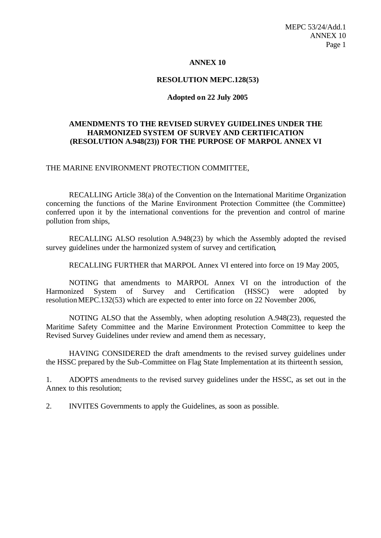### **ANNEX 10**

## **RESOLUTION MEPC.128(53)**

## **Adopted on 22 July 2005**

## **AMENDMENTS TO THE REVISED SURVEY GUIDELINES UNDER THE HARMONIZED SYSTEM OF SURVEY AND CERTIFICATION (RESOLUTION A.948(23)) FOR THE PURPOSE OF MARPOL ANNEX VI**

### THE MARINE ENVIRONMENT PROTECTION COMMITTEE,

RECALLING Article 38(a) of the Convention on the International Maritime Organization concerning the functions of the Marine Environment Protection Committee (the Committee) conferred upon it by the international conventions for the prevention and control of marine pollution from ships,

RECALLING ALSO resolution A.948(23) by which the Assembly adopted the revised survey guidelines under the harmonized system of survey and certification,

RECALLING FURTHER that MARPOL Annex VI entered into force on 19 May 2005,

NOTING that amendments to MARPOL Annex VI on the introduction of the Harmonized System of Survey and Certification (HSSC) were adopted by resolutionMEPC.132(53) which are expected to enter into force on 22 November 2006,

NOTING ALSO that the Assembly, when adopting resolution A.948(23), requested the Maritime Safety Committee and the Marine Environment Protection Committee to keep the Revised Survey Guidelines under review and amend them as necessary,

HAVING CONSIDERED the draft amendments to the revised survey guidelines under the HSSC prepared by the Sub-Committee on Flag State Implementation at its thirteenth session,

1. ADOPTS amendments to the revised survey guidelines under the HSSC, as set out in the Annex to this resolution;

2. INVITES Governments to apply the Guidelines, as soon as possible.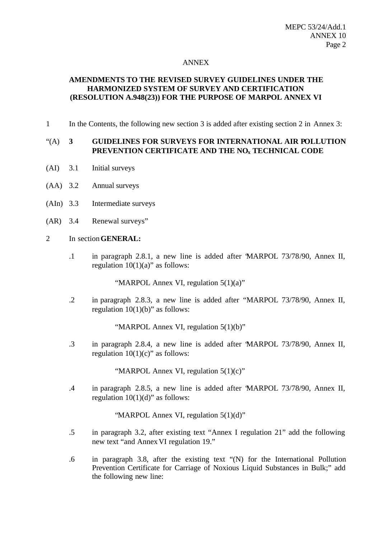### ANNEX

# **AMENDMENTS TO THE REVISED SURVEY GUIDELINES UNDER THE HARMONIZED SYSTEM OF SURVEY AND CERTIFICATION (RESOLUTION A.948(23)) FOR THE PURPOSE OF MARPOL ANNEX VI**

1 In the Contents, the following new section 3 is added after existing section 2 in Annex 3:

## "(A) **3 GUIDELINES FOR SURVEYS FOR INTERNATIONAL AIR POLLUTION PREVENTION CERTIFICATE AND THE NOx TECHNICAL CODE**

- (AI) 3.1 Initial surveys
- (AA) 3.2 Annual surveys
- (AIn) 3.3 Intermediate surveys
- (AR) 3.4 Renewal surveys"

#### 2 In section**GENERAL:**

.1 in paragraph 2.8.1*,* a new line is added after "MARPOL 73/78/90, Annex II, regulation  $10(1)(a)$ " as follows:

"MARPOL Annex VI, regulation 5(1)(a)"

.2 in paragraph 2.8.3*,* a new line is added after "MARPOL 73/78/90, Annex II, regulation  $10(1)(b)$ " as follows:

"MARPOL Annex VI, regulation 5(1)(b)"

.3 in paragraph 2.8.4*,* a new line is added after "MARPOL 73/78/90, Annex II, regulation  $10(1)(c)$ " as follows:

"MARPOL Annex VI, regulation 5(1)(c)"

.4 in paragraph 2.8.5, a new line is added after "MARPOL 73/78/90, Annex II, regulation  $10(1)(d)$ " as follows:

"MARPOL Annex VI, regulation 5(1)(d)"

- .5 in paragraph 3.2, after existing text "Annex I regulation 21" add the following new text "and Annex VI regulation 19."
- .6 in paragraph 3.8, after the existing text "(N) for the International Pollution Prevention Certificate for Carriage of Noxious Liquid Substances in Bulk;" add the following new line: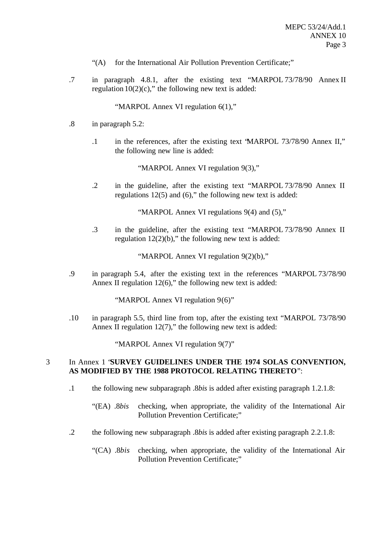- "(A) for the International Air Pollution Prevention Certificate;"
- .7 in paragraph 4.8.1, after the existing text "MARPOL 73/78/90 Annex II regulation  $10(2)(c)$ ," the following new text is added:

"MARPOL Annex VI regulation 6(1),"

- .8 in paragraph 5.2:
	- .1 in the references, after the existing text "MARPOL 73/78/90 Annex II," the following new line is added:

"MARPOL Annex VI regulation 9(3),"

.2 in the guideline, after the existing text "MARPOL 73/78/90 Annex II regulations 12(5) and (6)," the following new text is added:

"MARPOL Annex VI regulations 9(4) and (5),"

.3 in the guideline, after the existing text "MARPOL 73/78/90 Annex II regulation  $12(2)(b)$ ," the following new text is added:

"MARPOL Annex VI regulation 9(2)(b),"

.9 in paragraph 5.4, after the existing text in the references "MARPOL 73/78/90 Annex II regulation  $12(6)$ ," the following new text is added:

"MARPOL Annex VI regulation 9(6)"

.10 in paragraph 5.5, third line from top, after the existing text "MARPOL 73/78/90 Annex II regulation  $12(7)$ ," the following new text is added:

"MARPOL Annex VI regulation 9(7)"

## 3 In Annex 1 "**SURVEY GUIDELINES UNDER THE 1974 SOLAS CONVENTION, AS MODIFIED BY THE 1988 PROTOCOL RELATING THERETO**":

- .1 the following new subparagraph .8*bis* is added after existing paragraph 1.2.1.8:
	- "(EA) .8*bis* checking, when appropriate, the validity of the International Air Pollution Prevention Certificate;"
- .2 the following new subparagraph .8*bis* is added after existing paragraph 2.2.1.8:
	- "(CA) .8*bis* checking, when appropriate, the validity of the International Air Pollution Prevention Certificate;"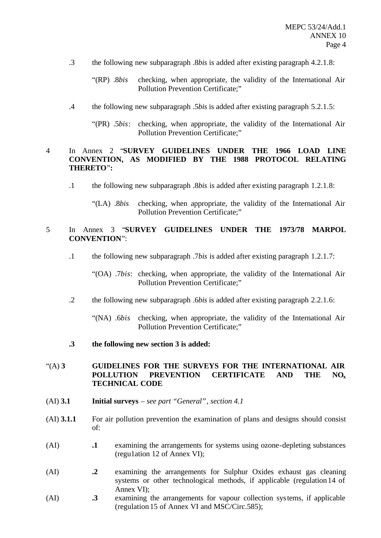- .3 the following new subparagraph .8*bis* is added after existing paragraph 4.2.1.8:
	- "(RP) .8*bis* checking, when appropriate, the validity of the International Air Pollution Prevention Certificate;"
- .4 the following new subparagraph .5*bis* is added after existing paragraph 5.2.1.5:
	- "(PR) .5*bis*: checking, when appropriate, the validity of the International Air Pollution Prevention Certificate;"

### 4 In Annex 2 "**SURVEY GUIDELINES UNDER THE 1966 LOAD LINE CONVENTION, AS MODIFIED BY THE 1988 PROTOCOL RELATING THERETO**"**:**

- .1 the following new subparagraph .8*bis* is added after existing paragraph 1.2.1.8:
	- "(LA) .8*bis* checking, when appropriate, the validity of the International Air Pollution Prevention Certificate;"

# 5 In Annex 3 "**SURVEY GUIDELINES UNDER THE 1973/78 MARPOL CONVENTION**":

- .1 the following new subparagraph .7*bis* is added after existing paragraph 1.2.1.7:
	- "(OA) .7*bis*: checking, when appropriate, the validity of the International Air Pollution Prevention Certificate;"
- .2 the following new subparagraph .6*bis* is added after existing paragraph 2.2.1.6:
	- "(NA) .6*bis* checking, when appropriate, the validity of the International Air Pollution Prevention Certificate;"
- **.3 the following new section 3 is added:**

# "(A) **3 GUIDELINES FOR THE SURVEYS FOR THE INTERNATIONAL AIR POLLUTION PREVENTION CERTIFICATE AND THE NO<sup>x</sup> TECHNICAL CODE**

- (AI) **3.1 Initial surveys** *see part "General", section 4.1*
- (AI) **3.1.1** For air pollution prevention the examination of plans and designs should consist of:
- (AI) **.1** examining the arrangements for systems using ozone-depleting substances (regu1ation 12 of Annex VI);
- (AI) **.2** examining the arrangements for Sulphur Oxides exhaust gas cleaning systems or other technological methods, if applicable (regulation 14 of Annex VI);
- (AI) **.3** examining the arrangements for vapour collection systems, if applicable (regulation 15 of Annex VI and MSC/Circ.585);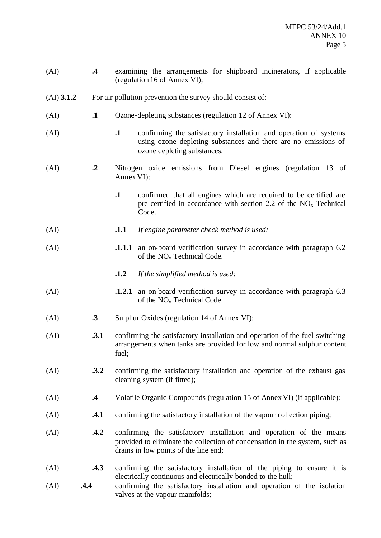| (AI)         | $\cdot$              | examining the arrangements for shipboard incinerators, if applicable<br>(regulation 16 of Annex VI);                                                                                        |                                                                                                                                                                                                                   |  |
|--------------|----------------------|---------------------------------------------------------------------------------------------------------------------------------------------------------------------------------------------|-------------------------------------------------------------------------------------------------------------------------------------------------------------------------------------------------------------------|--|
| $(AI)$ 3.1.2 |                      | For air pollution prevention the survey should consist of:                                                                                                                                  |                                                                                                                                                                                                                   |  |
| (AI)         | $\cdot$              | Ozone-depleting substances (regulation 12 of Annex VI):                                                                                                                                     |                                                                                                                                                                                                                   |  |
| (AI)         |                      | $\cdot$                                                                                                                                                                                     | confirming the satisfactory installation and operation of systems<br>using ozone depleting substances and there are no emissions of<br>ozone depleting substances.                                                |  |
| (AI)         | $\cdot$ <sup>2</sup> | Nitrogen oxide emissions from Diesel engines (regulation 13 of<br>Annex VI:                                                                                                                 |                                                                                                                                                                                                                   |  |
|              |                      | $\cdot$                                                                                                                                                                                     | confirmed that all engines which are required to be certified are<br>pre-certified in accordance with section 2.2 of the $NOx$ Technical<br>Code.                                                                 |  |
| (AI)         |                      | .1.1                                                                                                                                                                                        | If engine parameter check method is used:                                                                                                                                                                         |  |
| (AI)         |                      |                                                                                                                                                                                             | <b>1.1.1</b> an on-board verification survey in accordance with paragraph 6.2<br>of the $NOx$ Technical Code.                                                                                                     |  |
|              |                      | .1.2                                                                                                                                                                                        | If the simplified method is used:                                                                                                                                                                                 |  |
| (AI)         |                      | .1.2.1                                                                                                                                                                                      | an on-board verification survey in accordance with paragraph 6.3<br>of the NO <sub>x</sub> Technical Code.                                                                                                        |  |
| (AI)         | $\cdot$ 3            | Sulphur Oxides (regulation 14 of Annex VI):                                                                                                                                                 |                                                                                                                                                                                                                   |  |
| (AI)         | .3.1                 | confirming the satisfactory installation and operation of the fuel switching<br>arrangements when tanks are provided for low and normal sulphur content<br>fuel;                            |                                                                                                                                                                                                                   |  |
| (AI)         | .3.2                 | confirming the satisfactory installation and operation of the exhaust gas<br>cleaning system (if fitted);                                                                                   |                                                                                                                                                                                                                   |  |
| (AI)         | $\cdot$ 4            | Volatile Organic Compounds (regulation 15 of Annex VI) (if applicable):                                                                                                                     |                                                                                                                                                                                                                   |  |
| (AI)         | .4.1                 | confirming the satisfactory installation of the vapour collection piping;                                                                                                                   |                                                                                                                                                                                                                   |  |
| (AI)         | .4.2                 | confirming the satisfactory installation and operation of the means<br>provided to eliminate the collection of condensation in the system, such as<br>drains in low points of the line end; |                                                                                                                                                                                                                   |  |
| (AI)<br>(AI) | .4.3<br>.4.4         |                                                                                                                                                                                             | confirming the satisfactory installation of the piping to ensure it is<br>electrically continuous and electrically bonded to the hull;<br>confirming the satisfactory installation and operation of the isolation |  |
|              |                      |                                                                                                                                                                                             | valves at the vapour manifolds;                                                                                                                                                                                   |  |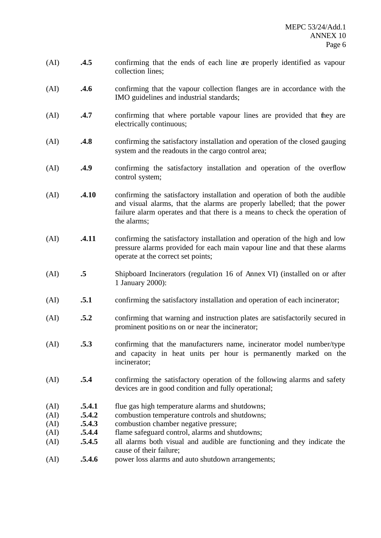- (AI) **.4.5** confirming that the ends of each line are properly identified as vapour collection lines;
- (AI) **.4.6** confirming that the vapour collection flanges are in accordance with the IMO guidelines and industrial standards;
- (AI) **.4.7** confirming that where portable vapour lines are provided that they are electrically continuous;
- (AI) **.4.8** confirming the satisfactory installation and operation of the closed gauging system and the readouts in the cargo control area;
- (AI) **.4.9** confirming the satisfactory installation and operation of the overflow control system;
- (AI) **.4.10** confirming the satisfactory installation and operation of both the audible and visual alarms, that the alarms are properly labelled; that the power failure alarm operates and that there is a means to check the operation of the alarms;
- (AI) **.4.11** confirming the satisfactory installation and operation of the high and low pressure alarms provided for each main vapour line and that these alarms operate at the correct set points;
- (AI) **.5** Shipboard Incinerators (regulation 16 of Annex VI) (installed on or after 1 January 2000):
- (AI) **.5.1** confirming the satisfactory installation and operation of each incinerator;
- (AI) **.5.2** confirming that warning and instruction plates are satisfactorily secured in prominent positions on or near the incinerator;
- (AI) **.5.3** confirming that the manufacturers name, incinerator model number/type and capacity in heat units per hour is permanently marked on the incinerator;
- (AI) **.5.4** confirming the satisfactory operation of the following alarms and safety devices are in good condition and fully operational;
- (AI) **.5.4.1** flue gas high temperature alarms and shutdowns;
- (AI) **.5.4.2** combustion temperature controls and shutdowns;
- (AI) **.5.4.3** combustion chamber negative pressure;
- (AI) **.5.4.4** flame safeguard control, alarms and shutdowns;
- (AI) **.5.4.5** all alarms both visual and audible are functioning and they indicate the cause of their failure;
- (AI) **.5.4.6** power loss alarms and auto shutdown arrangements;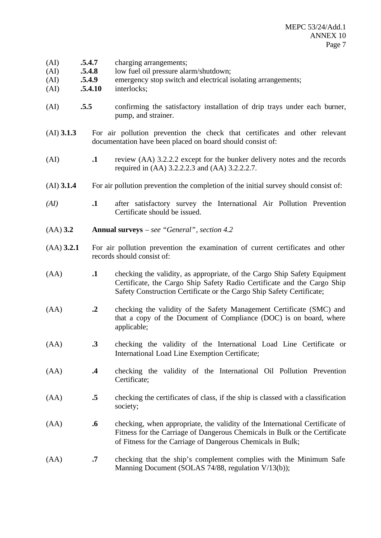- (AI) **.5.4.7** charging arrangements;
- (AI) **.5.4.8** low fuel oil pressure alarm/shutdown;
- (AI) **.5.4.9** emergency stop switch and electrical isolating arrangements;
- (AI) **.5.4.10** interlocks;
- (AI) **.5.5** confirming the satisfactory installation of drip trays under each burner, pump, and strainer.
- (AI) **3.1.3** For air pollution prevention the check that certificates and other relevant documentation have been placed on board should consist of:
- (AI) **.1** review (AA) 3.2.2.2 except for the bunker delivery notes and the records required in (AA) 3.2.2.2.3 and (AA) 3.2.2.2.7.
- (AI) **3.1.4** For air pollution prevention the completion of the initial survey should consist of:
- *(AI)* **.1** after satisfactory survey the International Air Pollution Prevention Certificate should be issued.
- (AA) **3.2 Annual surveys** *see "General", section 4.2*
- (AA) **3.2.1** For air pollution prevention the examination of current certificates and other records should consist of:
- (AA) **.1** checking the validity, as appropriate, of the Cargo Ship Safety Equipment Certificate, the Cargo Ship Safety Radio Certificate and the Cargo Ship Safety Construction Certificate or the Cargo Ship Safety Certificate;
- (AA) **.2** checking the validity of the Safety Management Certificate (SMC) and that a copy of the Document of Compliance (DOC) is on board, where applicable;
- (AA) **.3** checking the validity of the International Load Line Certificate or International Load Line Exemption Certificate;
- (AA) **.4** checking the validity of the International Oil Pollution Prevention Certificate;
- (AA) **.5** checking the certificates of class, if the ship is classed with a classification society;
- (AA) **.6** checking, when appropriate, the validity of the International Certificate of Fitness for the Carriage of Dangerous Chemicals in Bulk or the Certificate of Fitness for the Carriage of Dangerous Chemicals in Bulk;
- (AA) **.7** checking that the ship's complement complies with the Minimum Safe Manning Document (SOLAS 74/88, regulation V/13(b));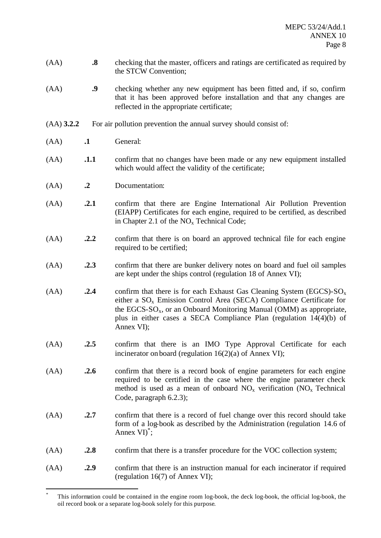- (AA) **.8** checking that the master, officers and ratings are certificated as required by the STCW Convention;
- (AA) **.9** checking whether any new equipment has been fitted and, if so, confirm that it has been approved before installation and that any changes are reflected in the appropriate certificate;
- (AA) **3.2.2** For air pollution prevention the annual survey should consist of:
- (AA) **.1** General:

l

- (AA) **.1.1** confirm that no changes have been made or any new equipment installed which would affect the validity of the certificate;
- (AA) **.2** Documentation:
- (AA) **.2.1** confirm that there are Engine International Air Pollution Prevention (EIAPP) Certificates for each engine, required to be certified, as described in Chapter 2.1 of the  $NO<sub>x</sub>$  Technical Code;
- (AA) **.2.2** confirm that there is on board an approved technical file for each engine required to be certified;
- (AA) **.2.3** confirm that there are bunker delivery notes on board and fuel oil samples are kept under the ships control (regulation 18 of Annex VI);
- $(AA)$  **.2.4** confirm that there is for each Exhaust Gas Cleaning System (EGCS)-SO<sub>x</sub> either a  $SO_x$  Emission Control Area (SECA) Compliance Certificate for the EGCS- $SO_x$ , or an Onboard Monitoring Manual (OMM) as appropriate, plus in either cases a SECA Compliance Plan (regulation 14(4)(b) of Annex VI);
- (AA) **.2.5** confirm that there is an IMO Type Approval Certificate for each incinerator on board (regulation 16(2)(a) of Annex VI);
- (AA) **.2.6** confirm that there is a record book of engine parameters for each engine required to be certified in the case where the engine parameter check method is used as a mean of onboard  $NO<sub>x</sub>$  verification  $(NO<sub>x</sub>$  Technical Code, paragraph 6.2.3);
- (AA) **.2.7** confirm that there is a record of fuel change over this record should take form of a log-book as described by the Administration (regulation 14.6 of Annex VI)<sup>\*</sup>;
- (AA) **.2.8** confirm that there is a transfer procedure for the VOC collection system;
- (AA) **.2.9** confirm that there is an instruction manual for each incinerator if required (regulation 16(7) of Annex VI);

<sup>\*</sup> This information could be contained in the engine room log-book, the deck log-book, the official log-book, the oil record book or a separate log-book solely for this purpose.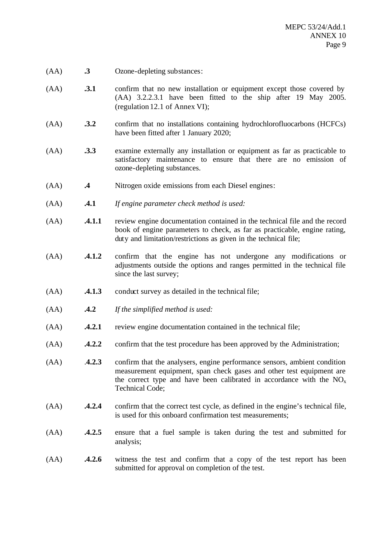- (AA) **.3** Ozone-depleting substances:
- (AA) **.3.1** confirm that no new installation or equipment except those covered by (AA) 3.2.2.3.1 have been fitted to the ship after 19 May 2005. (regulation 12.1 of Annex VI);
- (AA) **.3.2** confirm that no installations containing hydrochlorofluocarbons (HCFCs) have been fitted after 1 January 2020;
- (AA) **.3.3** examine externally any installation or equipment as far as practicable to satisfactory maintenance to ensure that there are no emission of ozone-depleting substances.
- (AA) **.4** Nitrogen oxide emissions from each Diesel engines:
- (AA) **.4.1** *If engine parameter check method is used:*
- (AA) **.4.1.1** review engine documentation contained in the technical file and the record book of engine parameters to check, as far as practicable, engine rating, duty and limitation/restrictions as given in the technical file;
- (AA) **.4.1.2** confirm that the engine has not undergone any modifications or adjustments outside the options and ranges permitted in the technical file since the last survey;
- (AA) **.4.1.3** conduct survey as detailed in the technical file;
- (AA) **.4.2** *If the simplified method is used:*
- (AA) **.4.2.1** review engine documentation contained in the technical file;
- (AA) **.4.2.2** confirm that the test procedure has been approved by the Administration;
- (AA) .**4.2.3** confirm that the analysers, engine performance sensors, ambient condition measurement equipment, span check gases and other test equipment are the correct type and have been calibrated in accordance with the  $NO<sub>x</sub>$ Technical Code;
- (AA) **.4.2.4** confirm that the correct test cycle, as defined in the engine's technical file, is used for this onboard confirmation test measurements;
- (AA) **.4.2.5** ensure that a fuel sample is taken during the test and submitted for analysis;
- (AA) **.4.2.6** witness the test and confirm that a copy of the test report has been submitted for approval on completion of the test.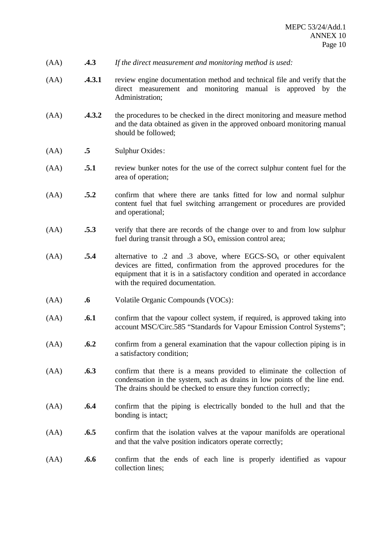- (AA) **.4.3** *If the direct measurement and monitoring method is used:*
- (AA) **.4.3.1** review engine documentation method and technical file and verify that the direct measurement and monitoring manual is approved by the Administration;
- (AA) **.4.3.2** the procedures to be checked in the direct monitoring and measure method and the data obtained as given in the approved onboard monitoring manual should be followed;
- (AA) **.5** Sulphur Oxides:
- (AA) **.5.1** review bunker notes for the use of the correct sulphur content fuel for the area of operation;
- (AA) **.5.2** confirm that where there are tanks fitted for low and normal sulphur content fuel that fuel switching arrangement or procedures are provided and operational;
- (AA) **.5.3** verify that there are records of the change over to and from low sulphur fuel during transit through a  $SO_x$  emission control area;
- $(AA)$  **.5.4** alternative to .2 and .3 above, where EGCS-SO<sub>x</sub> or other equivalent devices are fitted, confirmation from the approved procedures for the equipment that it is in a satisfactory condition and operated in accordance with the required documentation.
- (AA) **.6** Volatile Organic Compounds (VOCs):
- (AA) **.6.1** confirm that the vapour collect system, if required, is approved taking into account MSC/Circ.585 "Standards for Vapour Emission Control Systems";
- (AA) **.6.2** confirm from a general examination that the vapour collection piping is in a satisfactory condition;
- (AA) **.6.3** confirm that there is a means provided to eliminate the collection of condensation in the system, such as drains in low points of the line end. The drains should be checked to ensure they function correctly;
- (AA) **.6.4** confirm that the piping is electrically bonded to the hull and that the bonding is intact;
- (AA) **.6.5** confirm that the isolation valves at the vapour manifolds are operational and that the valve position indicators operate correctly;
- (AA) **.6.6** confirm that the ends of each line is properly identified as vapour collection lines;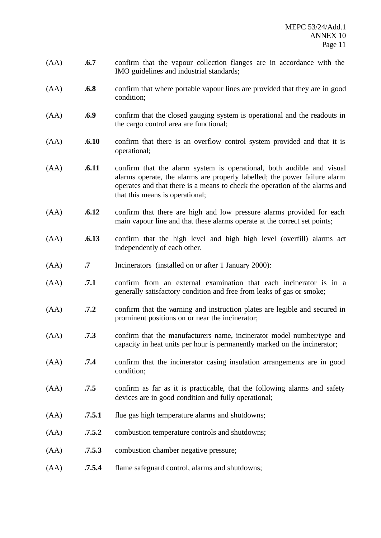- (AA) **.6.7** confirm that the vapour collection flanges are in accordance with the IMO guidelines and industrial standards;
- (AA) **.6.8** confirm that where portable vapour lines are provided that they are in good condition;
- (AA) **.6.9** confirm that the closed gauging system is operational and the readouts in the cargo control area are functional;
- (AA) **.6.10** confirm that there is an overflow control system provided and that it is operational;
- (AA) **.6.11** confirm that the alarm system is operational, both audible and visual alarms operate, the alarms are properly labelled; the power failure alarm operates and that there is a means to check the operation of the alarms and that this means is operational;
- (AA) **.6.12** confirm that there are high and low pressure alarms provided for each main vapour line and that these alarms operate at the correct set points;
- (AA) **.6.13** confirm that the high level and high high level (overfill) alarms act independently of each other.
- (AA) **.7** Incinerators (installed on or after 1 January 2000):
- (AA) **.7.1** confirm from an external examination that each incinerator is in a generally satisfactory condition and free from leaks of gas or smoke;
- (AA) **.7.2** confirm that the warning and instruction plates are legible and secured in prominent positions on or near the incinerator;
- (AA) **.7.3** confirm that the manufacturers name, incinerator model number/type and capacity in heat units per hour is permanently marked on the incinerator;
- (AA) **.7.4** confirm that the incinerator casing insulation arrangements are in good condition;
- (AA) **.7.5** confirm as far as it is practicable, that the following alarms and safety devices are in good condition and fully operational;
- (AA) **.7.5.1** flue gas high temperature alarms and shutdowns;
- (AA) **.7.5.2** combustion temperature controls and shutdowns;
- (AA) **.7.5.3** combustion chamber negative pressure;
- (AA) **.7.5.4** flame safeguard control, alarms and shutdowns;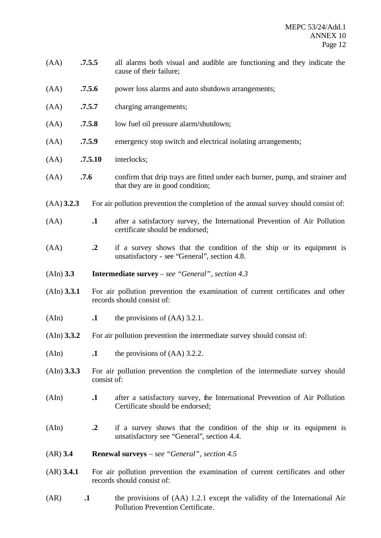- (AA) **.7.5.5** all alarms both visual and audible are functioning and they indicate the cause of their failure;
- (AA) **.7.5.6** power loss alarms and auto shutdown arrangements;
- (AA) **.7.5.7** charging arrangements;
- (AA) **.7.5.8** low fuel oil pressure alarm/shutdown;
- (AA) **.7.5.9** emergency stop switch and electrical isolating arrangements;
- (AA) **.7.5.10** interlocks;
- (AA) **.7.6** confirm that drip trays are fitted under each burner, pump, and strainer and that they are in good condition;
- (AA) **3.2.3** For air pollution prevention the completion of the annual survey should consist of:
- (AA) **.1** after a satisfactory survey, the International Prevention of Air Pollution certificate should be endorsed;
- (AA) **.2** if a survey shows that the condition of the ship or its equipment is unsatisfactory - see "General", section 4.8.
- (AIn) **3.3 Intermediate survey** *see "General", section 4.3*
- (AIn) **3.3.1** For air pollution prevention the examination of current certificates and other records should consist of:
- $\mathbf{A}$  **.1** the provisions of  $(AA)$  3.2.1.
- (AIn) **3.3.2** For air pollution prevention the intermediate survey should consist of:
- (AIn) **.1** the provisions of (AA) 3.2.2.
- (AIn) **3.3.3** For air pollution prevention the completion of the intermediate survey should consist of:
- (AIn) **.1** after a satisfactory survey, the International Prevention of Air Pollution Certificate should be endorsed;
- (AIn) **.2** if a survey shows that the condition of the ship or its equipment is unsatisfactory see "General", section 4.4.
- (AR) **3.4 Renewal surveys** *see "General", section 4.5*
- (AR) **3.4.1** For air pollution prevention the examination of current certificates and other records should consist of:
- (AR) **.1** the provisions of (AA) 1.2.1 except the validity of the International Air Pollution Prevention Certificate.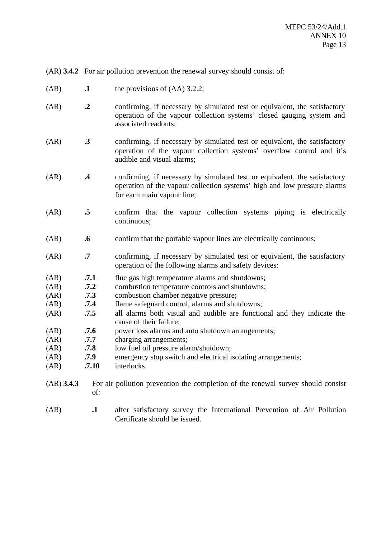(AR) **3.4.2** For air pollution prevention the renewal survey should consist of:

- $(AR)$  **.1** the provisions of  $(AA)$  3.2.2;
- (AR) **.2** confirming, if necessary by simulated test or equivalent, the satisfactory operation of the vapour collection systems' closed gauging system and associated readouts;
- (AR) **.3** confirming, if necessary by simulated test or equivalent, the satisfactory operation of the vapour collection systems' overflow control and it's audible and visual alarms;
- (AR) **.4** confirming, if necessary by simulated test or equivalent, the satisfactory operation of the vapour collection systems' high and low pressure alarms for each main vapour line;
- (AR) **.5** confirm that the vapour collection systems piping is electrically continuous;
- (AR) **.6** confirm that the portable vapour lines are electrically continuous;
- (AR) **.7** confirming, if necessary by simulated test or equivalent, the satisfactory operation of the following alarms and safety devices:
- (AR) **.7.1** flue gas high temperature alarms and shutdowns;
- (AR) **.7.2** combustion temperature controls and shutdowns;
- (AR) **.7.3** combustion chamber negative pressure;
- (AR) **.7.4** flame safeguard control, alarms and shutdowns;
- (AR) **.7.5** all alarms both visual and audible are functional and they indicate the cause of their failure;
- (AR) **.7.6** power loss alarms and auto shutdown arrangements;
- (AR) **.7.7** charging arrangements;
- (AR) **.7.8** low fuel oil pressure alarm/shutdown;
- (AR) **.7.9** emergency stop switch and electrical isolating arrangements;
- (AR) **.7.10** interlocks.
- (AR) **3.4.3** For air pollution prevention the completion of the renewal survey should consist of:
- (AR) **.1** after satisfactory survey the International Prevention of Air Pollution Certificate should be issued.